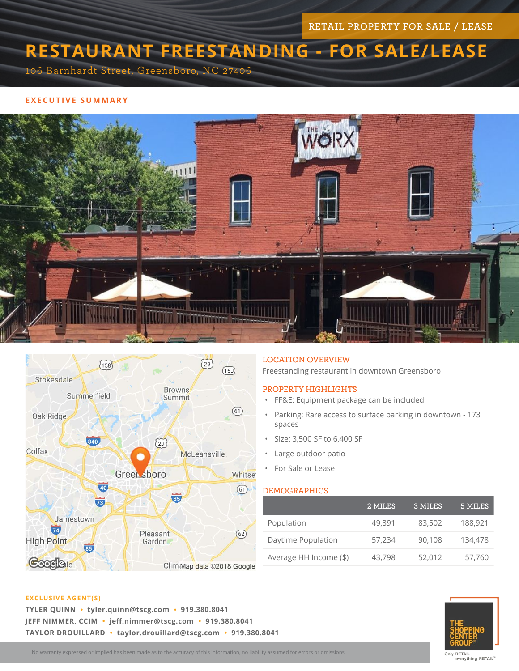RETAIL PROPERTY FOR SALE / LEASE

# **RESTAURANT FREESTANDING - FOR SALE/LEASE**

106 Barnhardt Street, Greensboro, NC 27406

## **EXECUTIVE SUMMARY**





### LOCATION OVERVIEW

Freestanding restaurant in downtown Greensboro

## PROPERTY HIGHLIGHTS

- FF&E: Equipment package can be included
- Parking: Rare access to surface parking in downtown 173 spaces
- Size: 3,500 SF to 6,400 SF
- Large outdoor patio
- For Sale or Lease

### DEMOGRAPHICS

|                        | 2 MILES | 3 MILES | 5 MILES |
|------------------------|---------|---------|---------|
| Population             | 49,391  | 83,502  | 188,921 |
| Daytime Population     | 57,234  | 90,108  | 134,478 |
| Average HH Income (\$) | 43,798  | 52,012  | 57,760  |



**TYLER QUINN • tyler.quinn@tscg.com • 919.380.8041 JEFF NIMMER, CCIM • jeff.nimmer@tscg.com • 919.380.8041 TAYLOR DROUILLARD • taylor.drouillard@tscg.com • 919.380.8041**